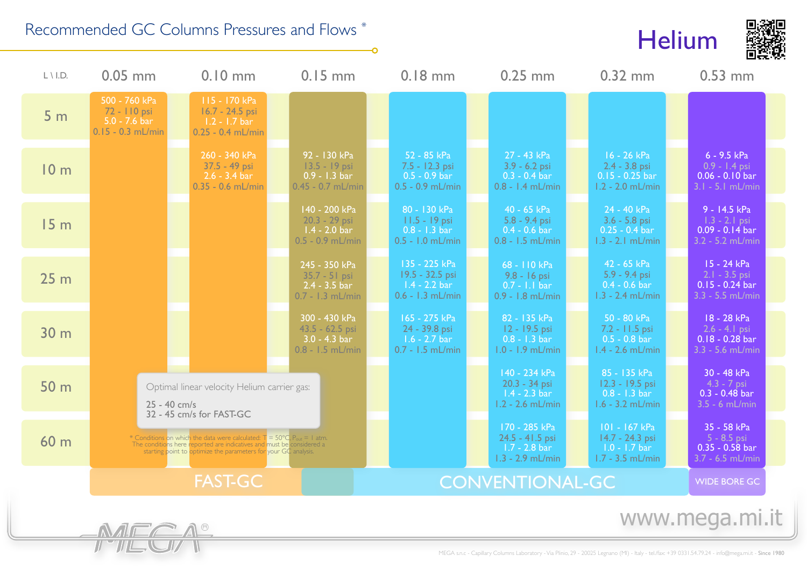## Recommended GC Columns Pressures and Flows \*





| $L \setminus L$ . | $0.05$ mm                                                               | $0.10$ mm                                                                                                                                                                                                                                 | $0.15$ mm                                                                                                                                                                                                                                                                                                                                                                                                                                             |  |  |  | $0.25$ mm                                                                         |  | $0.32$ mm                                                                        |  | $0.53$ mm                                                                            |  |
|-------------------|-------------------------------------------------------------------------|-------------------------------------------------------------------------------------------------------------------------------------------------------------------------------------------------------------------------------------------|-------------------------------------------------------------------------------------------------------------------------------------------------------------------------------------------------------------------------------------------------------------------------------------------------------------------------------------------------------------------------------------------------------------------------------------------------------|--|--|--|-----------------------------------------------------------------------------------|--|----------------------------------------------------------------------------------|--|--------------------------------------------------------------------------------------|--|
| 5 <sub>m</sub>    | 500 - 760 kPa<br>72 - 110 psi<br>$5.0 - 7.6$ bar<br>$0.15 - 0.3$ mL/min | 115 - 170 kPa<br>$16.7 - 24.5$ psi<br>$1.2 - 1.7$ bar<br>$0.25 - 0.4$ mL/min                                                                                                                                                              |                                                                                                                                                                                                                                                                                                                                                                                                                                                       |  |  |  |                                                                                   |  |                                                                                  |  |                                                                                      |  |
| 10 <sub>m</sub>   |                                                                         | 260 - 340 kPa<br>37.5 - 49 psi<br>$2.6 - 3.4$ bar<br>$0.35 - 0.6$ mL/min                                                                                                                                                                  | 92 - 130 kPa<br>$13.5 - 19$ psi<br>$0.9 - 1.3 \text{ bar}$<br>$0.45 - 0.7$ mL/min                                                                                                                                                                                                                                                                                                                                                                     |  |  |  | 27 - 43 kPa<br>$3.9 - 6.2$ psi<br>$0.3 - 0.4$ bar                                 |  | 16 - 26 kPa<br>$2.4 - 3.8$ psi<br>$0.15 - 0.25$ bar<br>$1.2 - 2.0$ mL/min        |  | $6 - 9.5$ kPa<br>$0.9 - 1.4$ psi<br>$0.06 - 0.10 \,\text{bar}$<br>$3.1 - 5.1$ mL/min |  |
| 15 <sub>m</sub>   |                                                                         |                                                                                                                                                                                                                                           | 140 - 200 kPa<br>$20.3 - 29$ psi<br>$1.4 - 2.0 \text{ bar}$<br>$0.5 - 0.9$ mL/min                                                                                                                                                                                                                                                                                                                                                                     |  |  |  | 40 - 65 kPa<br>$5.8 - 9.4$ psi<br>$0.4 - 0.6$ bar                                 |  | 24 - 40 kPa<br>$3.6 - 5.8$ psi<br>$0.25 - 0.4$ bar<br>$1.3 - 2.1$ mL/min         |  | 9 - 14.5 kPa<br>$1.3 - 2.1$ psi<br>$0.09 - 0.14$ bar<br>$3.2 - 5.2$ mL/min           |  |
| 25 <sub>m</sub>   |                                                                         |                                                                                                                                                                                                                                           | 245 - 350 kPa<br>$35.7 - 51$ psi<br>$2.4 - 3.5 \text{ bar}$<br>$0.7 - 1.3$ mL/min                                                                                                                                                                                                                                                                                                                                                                     |  |  |  | 68 - 110 kPa<br>9.8 - 16 psi<br>$0.7 - 1.1$ bar                                   |  | 42 - 65 kPa<br>$5.9 - 9.4$ psi<br>$0.4 - 0.6 \text{ bar}$<br>$1.3 - 2.4$ mL/min  |  | $15 - 24$ kPa<br>$2.1 - 3.5$ psi<br>$0.15 - 0.24$ bar<br>$3.3 - 5.5$ mL/min          |  |
| 30 <sub>m</sub>   |                                                                         |                                                                                                                                                                                                                                           | 300 - 430 kPa<br>43.5 - 62.5 psi<br>$3.0 - 4.3 \text{ bar}$<br>$0.8 - 1.5$ mL/min                                                                                                                                                                                                                                                                                                                                                                     |  |  |  | 82 - 135 kPa<br>$12 - 19.5$ psi<br>$0.8 - 1.3 \text{ bar}$<br>$1.0 - 1.9$ mL/min  |  | 50 - 80 kPa<br>$7.2 - 11.5$ psi<br>$0.5 - 0.8$ bar<br>$1.4 - 2.6$ mL/min         |  | 18 - 28 kPa<br>$2.6 - 4.1$ psi<br>$0.18 - 0.28$ bar<br>$3.3 - 5.6$ mL/min            |  |
| 50 <sub>m</sub>   |                                                                         | Optimal linear velocity Helium carrier gas:<br>25 - 40 cm/s<br>32 - 45 cm/s for FAST-GC                                                                                                                                                   |                                                                                                                                                                                                                                                                                                                                                                                                                                                       |  |  |  | 140 - 234 kPa<br>$20.3 - 34$ psi<br>$1.4 - 2.3 \text{ bar}$<br>$1.2 - 2.6$ mL/min |  | 85 - 135 kPa<br>12.3 - 19.5 psi<br>$0.8 - 1.3 \text{ bar}$<br>$1.6 - 3.2$ mL/min |  | 30 - 48 kPa<br>$4.3 - 7$ psi<br>$0.3 - 0.48$ bar<br>$3.5 - 6$ mL/min                 |  |
| 60 <sub>m</sub>   |                                                                         | * Conditions on which the data were calculated: $T = 50^{\circ}$ C, P <sub>out</sub> = 1 atm.<br>The conditions here reported are indicatives and must be considered a<br>starting point to optimize the parameters for your GC analysis. |                                                                                                                                                                                                                                                                                                                                                                                                                                                       |  |  |  | 170 - 285 kPa<br>24.5 - 41.5 psi<br>$1.7 - 2.8$ bar<br>$1.3 - 2.9$ mL/min         |  | $101 - 167$ kPa<br>14.7 - 24.3 psi<br>$1.0 - 1.7$ bar<br>$1.7 - 3.5$ mL/min      |  | 35 - 58 kPa<br>$5 - 8.5$ psi<br>$0.35 - 0.58$ bar<br>$3.7 - 6.5$ mL/min              |  |
|                   |                                                                         | <b>FAST-GC</b>                                                                                                                                                                                                                            |                                                                                                                                                                                                                                                                                                                                                                                                                                                       |  |  |  |                                                                                   |  |                                                                                  |  | <b>WIDE BORE GC</b>                                                                  |  |
|                   | MECA®                                                                   |                                                                                                                                                                                                                                           | $0.18$ mm<br>52 - 85 kPa<br>7.5 - 12.3 psi<br>$0.5$ - $0.9$ bar<br>$0.5 - 0.9$ mL/min<br>$0.8 - 1.4$ mL/min<br>80 - 130 kPa<br>$11.5 - 19$ psi<br>$0.8 - 1.3 \text{ bar}$<br>$0.5 - 1.0$ mL/min<br>$0.8 - 1.5$ mL/min<br>135 - 225 kPa<br>19.5 - 32.5 psi<br>$1.4 - 2.2 \text{ bar}$<br>$0.6 - 1.3$ mL/min<br>0.9 - 1.8 mL/min<br>165 - 275 kPa<br>24 - 39.8 psi<br>$1.6 - 2.7$ bar<br>$0.7 - 1.5$ mL/min<br><b>CONVENTIONAL-GC</b><br>www.mega.mi.it |  |  |  |                                                                                   |  |                                                                                  |  |                                                                                      |  |

O

MEGA s.n.c - Capillary Columns Laboratory - Via Plinio, 29 - 20025 Legnano (MI) - Italy - tel./fax: +39 0331.54.79.24 - [info@mega.mi.it](mailto:info@mega.mi.it) - Since 1980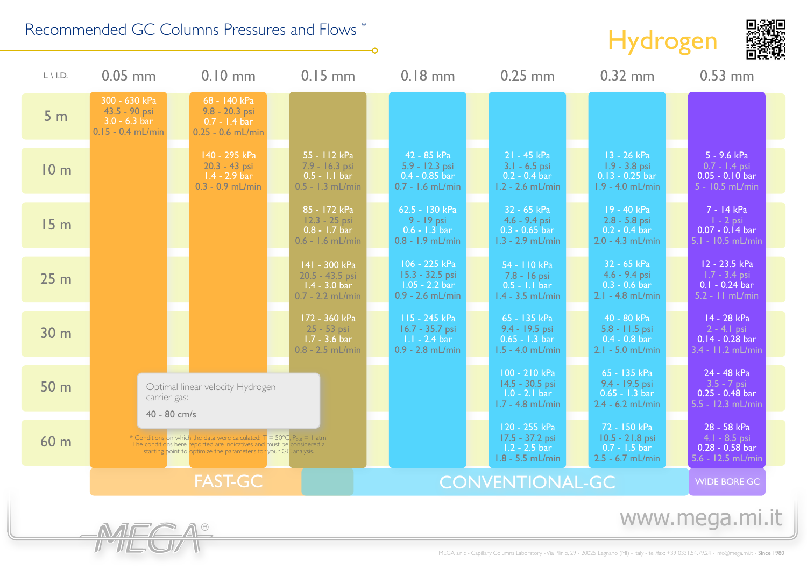## Recommended GC Columns Pressures and Flows \*





| $L \setminus$ I.D.      | $0.05$ mm                                                                        | $0.10$ mm                                                                                                                                                                                                                                 | $0.15$ mm                                                                         |                        | $0.18$ mm                                                                          |  | $0.25$ mm                                                                        |  | $0.32$ mm                                                                        |                     | $0.53$ mm                                                                 |
|-------------------------|----------------------------------------------------------------------------------|-------------------------------------------------------------------------------------------------------------------------------------------------------------------------------------------------------------------------------------------|-----------------------------------------------------------------------------------|------------------------|------------------------------------------------------------------------------------|--|----------------------------------------------------------------------------------|--|----------------------------------------------------------------------------------|---------------------|---------------------------------------------------------------------------|
| 5 <sub>m</sub>          | 300 - 630 kPa<br>43.5 - 90 psi<br>$3.0 - 6.3 \text{ bar}$<br>$0.15 - 0.4$ mL/min | 68 - 140 kPa<br>$9.8 - 20.3$ psi<br>$0.7 - 1.4$ bar<br>$0.25 - 0.6$ mL/min                                                                                                                                                                |                                                                                   |                        |                                                                                    |  |                                                                                  |  |                                                                                  |                     |                                                                           |
| 10 <sub>m</sub>         |                                                                                  | 140 - 295 kPa<br>$20.3 - 43$ psi<br>$1.4 - 2.9$ bar<br>$0.3 - 0.9$ mL/min                                                                                                                                                                 | 55 - 112 kPa<br>7.9 - 16.3 psi<br>$0.5 - 1.1$ bar<br>$0.5 - 1.3$ mL/min           |                        | 42 - 85 kPa<br>5.9 - 12.3 psi<br>$0.4 - 0.85$ bar<br>$0.7 - 1.6$ mL/min            |  | 21 - 45 kPa<br>$3.1 - 6.5$ psi<br>$0.2 - 0.4$ bar<br>$1.2 - 2.6$ mL/min          |  | 13 - 26 kPa<br>$1.9 - 3.8$ psi<br>$0.13 - 0.25$ bar<br>$1.9 - 4.0$ mL/min        |                     | 5 - 9.6 kPa<br>$0.7 - 1.4$ psi<br>$0.05 - 0.10$ bar<br>$5 - 10.5$ mL/min  |
| 15 <sub>m</sub>         |                                                                                  |                                                                                                                                                                                                                                           | 85 - 172 kPa<br>$12.3 - 25$ psi<br>$0.8 - 1.7$ bar<br>$0.6 - 1.6$ mL/min          |                        | 62.5 - 130 kPa<br>$9 - 19$ psi<br>$0.6 - 1.3 \text{ bar}$<br>0.8 - 1.9 mL/min      |  | 32 - 65 kPa<br>$4.6 - 9.4$ psi<br>$0.3 - 0.65$ bar<br>$1.3 - 2.9$ mL/min         |  | 19 - 40 kPa<br>$2.8 - 5.8$ psi<br>$0.2 - 0.4 \text{ bar}$<br>$2.0 - 4.3$ mL/min  |                     | 7 - 14 kPa<br>$1 - 2$ psi<br>$0.07 - 0.14$ bar<br>5.1 - 10.5 mL/min       |
| 25 <sub>m</sub>         |                                                                                  |                                                                                                                                                                                                                                           | 141 - 300 kPa<br>20.5 - 43.5 psi<br>$1.4 - 3.0 \text{ bar}$<br>$0.7 - 2.2$ mL/min |                        | 106 - 225 kPa<br>15.3 - 32.5 psi<br>$1.05 - 2.2 \text{ bar}$<br>$0.9 - 2.6$ mL/min |  | 54 - 110 kPa<br>7.8 - 16 psi<br>$0.5 - 1.1$ bar<br>$1.4 - 3.5$ mL/min            |  | 32 - 65 kPa<br>$4.6 - 9.4$ psi<br>$0.3 - 0.6$ bar<br>$2.1 - 4.8$ mL/min          |                     | 12 - 23.5 kPa<br>$1.7 - 3.4$ psi<br>$0.1 - 0.24$ bar<br>$5.2 - 11$ mL/min |
| 30 <sub>m</sub>         |                                                                                  |                                                                                                                                                                                                                                           | 172 - 360 kPa<br>$25 - 53$ psi<br>$1.7 - 3.6$ bar<br>$0.8 - 2.5$ mL/min           |                        | 115 - 245 kPa<br>16.7 - 35.7 psi<br>$1.1 - 2.4 \text{ bar}$<br>$0.9 - 2.8$ mL/min  |  | 65 - 135 kPa<br>9.4 - 19.5 psi<br>$0.65 - 1.3 \text{ bar}$<br>$1.5 - 4.0$ mL/min |  | 40 - 80 kPa<br>5.8 - 11.5 psi<br>$0.4 - 0.8$ bar<br>$2.1 - 5.0$ mL/min           |                     | 14 - 28 kPa<br>$2 - 4$ . I psi<br>$0.14 - 0.28$ bar<br>3.4 - 11.2 mL/min  |
| 50 <sub>m</sub>         | carrier gas:                                                                     | Optimal linear velocity Hydrogen                                                                                                                                                                                                          |                                                                                   |                        |                                                                                    |  | 100 - 210 kPa<br>$14.5 - 30.5$ psi<br>$1.0 - 2.1$ bar<br>1.7 - 4.8 mL/min        |  | 65 - 135 kPa<br>9.4 - 19.5 psi<br>$0.65 - 1.3 \text{ bar}$<br>$2.4 - 6.2$ mL/min |                     | 24 - 48 kPa<br>$3.5 - 7$ psi<br>$0.25 - 0.48$ bar<br>5.5 - 12.3 mL/min    |
| 60 <sub>m</sub>         | 40 - 80 cm/s                                                                     | * Conditions on which the data were calculated: $T = 50^{\circ}C$ , P <sub>out</sub> = 1 atm.<br>The conditions here reported are indicatives and must be considered a<br>starting point to optimize the parameters for your GC analysis. |                                                                                   |                        |                                                                                    |  | 120 - 255 kPa<br>17.5 - 37.2 psi<br>$1.2 - 2.5$ bar<br>$1.8 - 5.5$ mL/min        |  | 72 - 150 kPa<br>10.5 - 21.8 psi<br>$0.7 - 1.5$ bar<br>$2.5 - 6.7$ mL/min         |                     | 28 - 58 kPa<br>$4.1 - 8.5$ psi<br>$0.28 - 0.58$ bar<br>5.6 - 12.5 mL/min  |
|                         |                                                                                  | <b>FAST-GC</b>                                                                                                                                                                                                                            |                                                                                   | <b>CONVENTIONAL-GC</b> |                                                                                    |  |                                                                                  |  |                                                                                  | <b>WIDE BORE GC</b> |                                                                           |
| www.mega.mi.it<br>MECA® |                                                                                  |                                                                                                                                                                                                                                           |                                                                                   |                        |                                                                                    |  |                                                                                  |  |                                                                                  |                     |                                                                           |

O